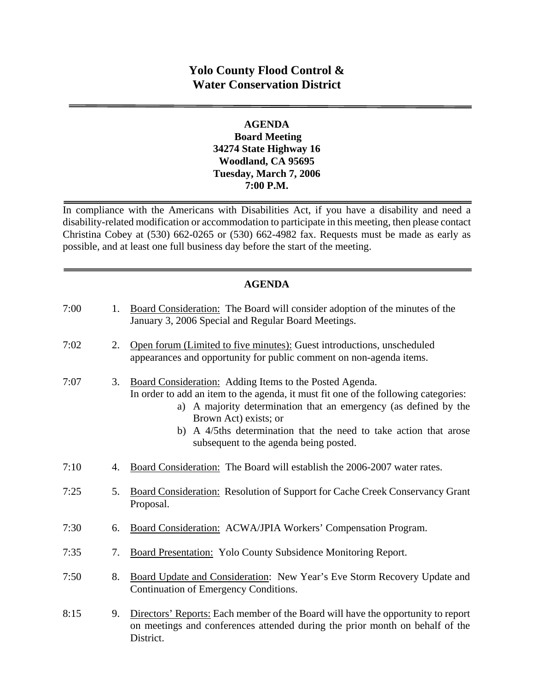# **Yolo County Flood Control & Water Conservation District**

#### **AGENDA Board Meeting 34274 State Highway 16 Woodland, CA 95695 Tuesday, March 7, 2006 7:00 P.M.**

In compliance with the Americans with Disabilities Act, if you have a disability and need a disability-related modification or accommodation to participate in this meeting, then please contact Christina Cobey at (530) 662-0265 or (530) 662-4982 fax. Requests must be made as early as possible, and at least one full business day before the start of the meeting.

# **AGENDA**

| 7:00 | 1. | Board Consideration: The Board will consider adoption of the minutes of the<br>January 3, 2006 Special and Regular Board Meetings.                                                                                                                                                                                                                         |
|------|----|------------------------------------------------------------------------------------------------------------------------------------------------------------------------------------------------------------------------------------------------------------------------------------------------------------------------------------------------------------|
| 7:02 | 2. | Open forum (Limited to five minutes): Guest introductions, unscheduled<br>appearances and opportunity for public comment on non-agenda items.                                                                                                                                                                                                              |
| 7:07 | 3. | Board Consideration: Adding Items to the Posted Agenda.<br>In order to add an item to the agenda, it must fit one of the following categories:<br>a) A majority determination that an emergency (as defined by the<br>Brown Act) exists; or<br>b) A 4/5ths determination that the need to take action that arose<br>subsequent to the agenda being posted. |
| 7:10 | 4. | Board Consideration: The Board will establish the 2006-2007 water rates.                                                                                                                                                                                                                                                                                   |
| 7:25 | 5. | Board Consideration: Resolution of Support for Cache Creek Conservancy Grant<br>Proposal.                                                                                                                                                                                                                                                                  |
| 7:30 | 6. | Board Consideration: ACWA/JPIA Workers' Compensation Program.                                                                                                                                                                                                                                                                                              |
| 7:35 | 7. | Board Presentation: Yolo County Subsidence Monitoring Report.                                                                                                                                                                                                                                                                                              |
| 7:50 | 8. | Board Update and Consideration: New Year's Eve Storm Recovery Update and<br>Continuation of Emergency Conditions.                                                                                                                                                                                                                                          |
| 8:15 | 9. | Directors' Reports: Each member of the Board will have the opportunity to report<br>on meetings and conferences attended during the prior month on behalf of the<br>District.                                                                                                                                                                              |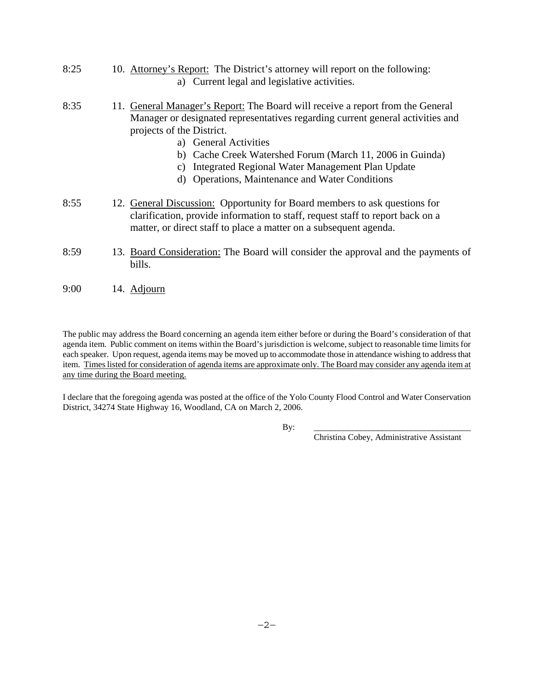- 8:25 10. Attorney's Report: The District's attorney will report on the following: a) Current legal and legislative activities.
- 8:35 11. General Manager's Report: The Board will receive a report from the General Manager or designated representatives regarding current general activities and projects of the District.
	- a) General Activities
	- b) Cache Creek Watershed Forum (March 11, 2006 in Guinda)
	- c) Integrated Regional Water Management Plan Update
	- d) Operations, Maintenance and Water Conditions
- 8:55 12. General Discussion: Opportunity for Board members to ask questions for clarification, provide information to staff, request staff to report back on a matter, or direct staff to place a matter on a subsequent agenda.
- 8:59 13. Board Consideration: The Board will consider the approval and the payments of bills.
- 9:00 14. Adjourn

The public may address the Board concerning an agenda item either before or during the Board's consideration of that agenda item. Public comment on items within the Board's jurisdiction is welcome, subject to reasonable time limits for each speaker. Upon request, agenda items may be moved up to accommodate those in attendance wishing to address that item. Times listed for consideration of agenda items are approximate only. The Board may consider any agenda item at any time during the Board meeting.

I declare that the foregoing agenda was posted at the office of the Yolo County Flood Control and Water Conservation District, 34274 State Highway 16, Woodland, CA on March 2, 2006.

By: \_\_\_\_\_\_\_\_\_\_\_\_\_\_\_\_\_\_\_\_\_\_\_\_\_\_\_\_\_\_\_\_\_\_\_\_\_

Christina Cobey, Administrative Assistant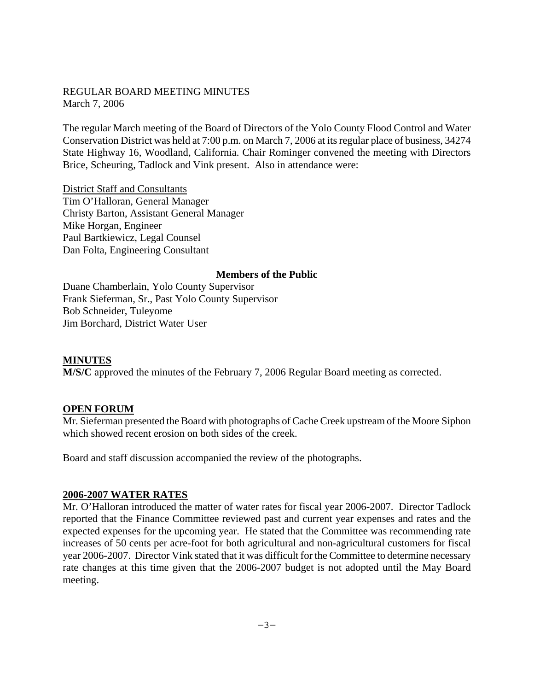#### REGULAR BOARD MEETING MINUTES March 7, 2006

The regular March meeting of the Board of Directors of the Yolo County Flood Control and Water Conservation District was held at 7:00 p.m. on March 7, 2006 at its regular place of business, 34274 State Highway 16, Woodland, California. Chair Rominger convened the meeting with Directors Brice, Scheuring, Tadlock and Vink present. Also in attendance were:

District Staff and Consultants Tim O'Halloran, General Manager Christy Barton, Assistant General Manager Mike Horgan, Engineer Paul Bartkiewicz, Legal Counsel Dan Folta, Engineering Consultant

#### **Members of the Public**

Duane Chamberlain, Yolo County Supervisor Frank Sieferman, Sr., Past Yolo County Supervisor Bob Schneider, Tuleyome Jim Borchard, District Water User

#### **MINUTES**

**M/S/C** approved the minutes of the February 7, 2006 Regular Board meeting as corrected.

#### **OPEN FORUM**

Mr. Sieferman presented the Board with photographs of Cache Creek upstream of the Moore Siphon which showed recent erosion on both sides of the creek.

Board and staff discussion accompanied the review of the photographs.

#### **2006-2007 WATER RATES**

Mr. O'Halloran introduced the matter of water rates for fiscal year 2006-2007. Director Tadlock reported that the Finance Committee reviewed past and current year expenses and rates and the expected expenses for the upcoming year. He stated that the Committee was recommending rate increases of 50 cents per acre-foot for both agricultural and non-agricultural customers for fiscal year 2006-2007. Director Vink stated that it was difficult for the Committee to determine necessary rate changes at this time given that the 2006-2007 budget is not adopted until the May Board meeting.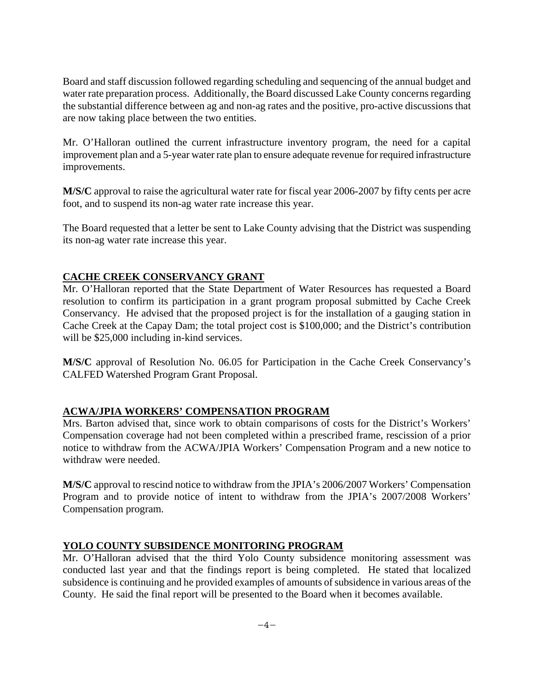Board and staff discussion followed regarding scheduling and sequencing of the annual budget and water rate preparation process. Additionally, the Board discussed Lake County concerns regarding the substantial difference between ag and non-ag rates and the positive, pro-active discussions that are now taking place between the two entities.

Mr. O'Halloran outlined the current infrastructure inventory program, the need for a capital improvement plan and a 5-year water rate plan to ensure adequate revenue for required infrastructure improvements.

**M/S/C** approval to raise the agricultural water rate for fiscal year 2006-2007 by fifty cents per acre foot, and to suspend its non-ag water rate increase this year.

The Board requested that a letter be sent to Lake County advising that the District was suspending its non-ag water rate increase this year.

# **CACHE CREEK CONSERVANCY GRANT**

Mr. O'Halloran reported that the State Department of Water Resources has requested a Board resolution to confirm its participation in a grant program proposal submitted by Cache Creek Conservancy. He advised that the proposed project is for the installation of a gauging station in Cache Creek at the Capay Dam; the total project cost is \$100,000; and the District's contribution will be \$25,000 including in-kind services.

**M/S/C** approval of Resolution No. 06.05 for Participation in the Cache Creek Conservancy's CALFED Watershed Program Grant Proposal.

# **ACWA/JPIA WORKERS' COMPENSATION PROGRAM**

Mrs. Barton advised that, since work to obtain comparisons of costs for the District's Workers' Compensation coverage had not been completed within a prescribed frame, rescission of a prior notice to withdraw from the ACWA/JPIA Workers' Compensation Program and a new notice to withdraw were needed.

**M/S/C** approval to rescind notice to withdraw from the JPIA's 2006/2007 Workers' Compensation Program and to provide notice of intent to withdraw from the JPIA's 2007/2008 Workers' Compensation program.

# **YOLO COUNTY SUBSIDENCE MONITORING PROGRAM**

Mr. O'Halloran advised that the third Yolo County subsidence monitoring assessment was conducted last year and that the findings report is being completed. He stated that localized subsidence is continuing and he provided examples of amounts of subsidence in various areas of the County. He said the final report will be presented to the Board when it becomes available.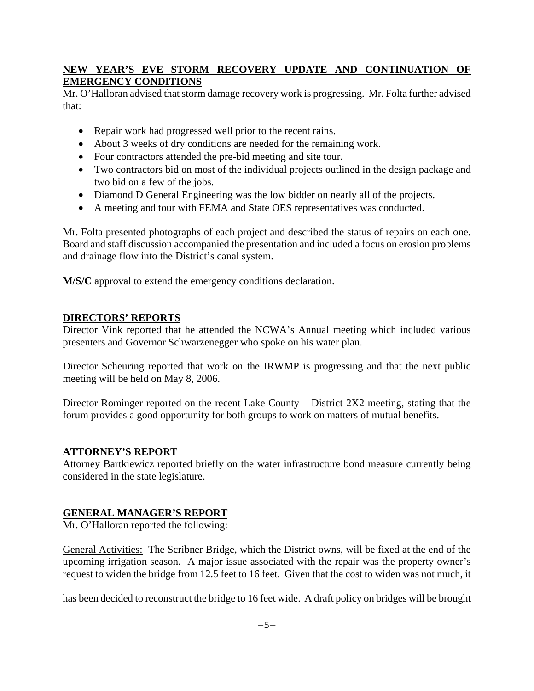# **NEW YEAR'S EVE STORM RECOVERY UPDATE AND CONTINUATION OF EMERGENCY CONDITIONS**

Mr. O'Halloran advised that storm damage recovery work is progressing. Mr. Folta further advised that:

- Repair work had progressed well prior to the recent rains.
- About 3 weeks of dry conditions are needed for the remaining work.
- Four contractors attended the pre-bid meeting and site tour.
- Two contractors bid on most of the individual projects outlined in the design package and two bid on a few of the jobs.
- Diamond D General Engineering was the low bidder on nearly all of the projects.
- A meeting and tour with FEMA and State OES representatives was conducted.

Mr. Folta presented photographs of each project and described the status of repairs on each one. Board and staff discussion accompanied the presentation and included a focus on erosion problems and drainage flow into the District's canal system.

**M/S/C** approval to extend the emergency conditions declaration.

#### **DIRECTORS' REPORTS**

Director Vink reported that he attended the NCWA's Annual meeting which included various presenters and Governor Schwarzenegger who spoke on his water plan.

Director Scheuring reported that work on the IRWMP is progressing and that the next public meeting will be held on May 8, 2006.

Director Rominger reported on the recent Lake County – District 2X2 meeting, stating that the forum provides a good opportunity for both groups to work on matters of mutual benefits.

#### **ATTORNEY'S REPORT**

Attorney Bartkiewicz reported briefly on the water infrastructure bond measure currently being considered in the state legislature.

# **GENERAL MANAGER'S REPORT**

Mr. O'Halloran reported the following:

General Activities: The Scribner Bridge, which the District owns, will be fixed at the end of the upcoming irrigation season. A major issue associated with the repair was the property owner's request to widen the bridge from 12.5 feet to 16 feet. Given that the cost to widen was not much, it

has been decided to reconstruct the bridge to 16 feet wide. A draft policy on bridges will be brought